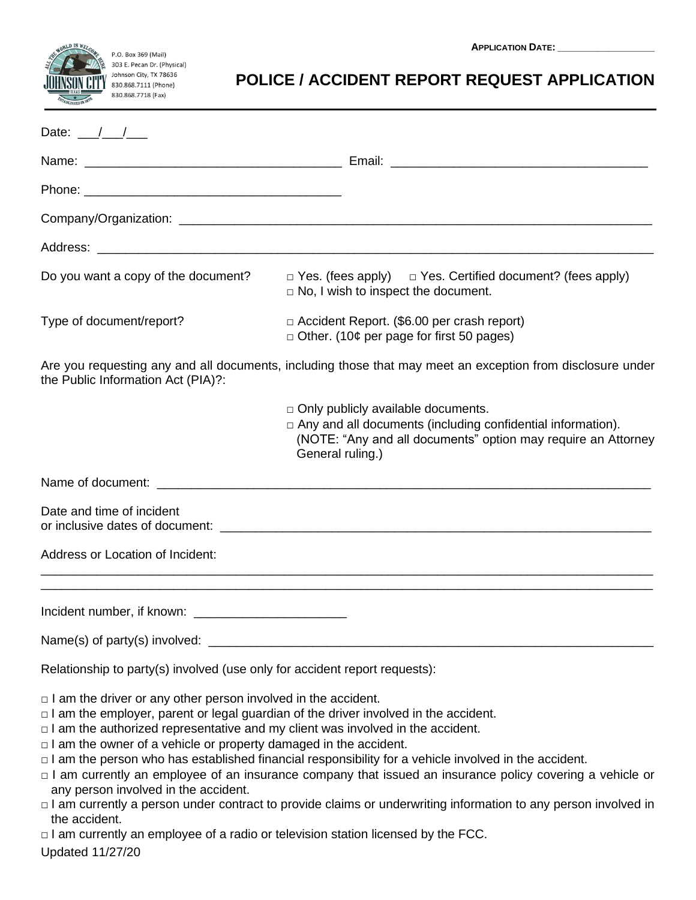

## P.O. Box 369 (Mail)<br>303 E. Pecan Dr. (Physical) .<br><sub>/</sub> Johnson City, TX 78636  $\frac{1}{2}$  830.868.7111 (Phone) 830.868.7718 (Fax)

## **POLICE / ACCIDENT REPORT REQUEST APPLICATION**

| Date: $\frac{\ }{\ }$                                                                                                                                                                                                                                                                                                                                                                           |                                                                                                                                                                                                                                                                                                                                                    |
|-------------------------------------------------------------------------------------------------------------------------------------------------------------------------------------------------------------------------------------------------------------------------------------------------------------------------------------------------------------------------------------------------|----------------------------------------------------------------------------------------------------------------------------------------------------------------------------------------------------------------------------------------------------------------------------------------------------------------------------------------------------|
|                                                                                                                                                                                                                                                                                                                                                                                                 |                                                                                                                                                                                                                                                                                                                                                    |
|                                                                                                                                                                                                                                                                                                                                                                                                 |                                                                                                                                                                                                                                                                                                                                                    |
|                                                                                                                                                                                                                                                                                                                                                                                                 |                                                                                                                                                                                                                                                                                                                                                    |
|                                                                                                                                                                                                                                                                                                                                                                                                 |                                                                                                                                                                                                                                                                                                                                                    |
| Do you want a copy of the document?                                                                                                                                                                                                                                                                                                                                                             | $\Box$ Yes. (fees apply) $\Box$ Yes. Certified document? (fees apply)<br>$\Box$ No, I wish to inspect the document.                                                                                                                                                                                                                                |
| Type of document/report?                                                                                                                                                                                                                                                                                                                                                                        | $\Box$ Accident Report. (\$6.00 per crash report)<br>$\Box$ Other. (10¢ per page for first 50 pages)                                                                                                                                                                                                                                               |
| the Public Information Act (PIA)?:                                                                                                                                                                                                                                                                                                                                                              | Are you requesting any and all documents, including those that may meet an exception from disclosure under                                                                                                                                                                                                                                         |
|                                                                                                                                                                                                                                                                                                                                                                                                 | $\Box$ Only publicly available documents.<br>$\Box$ Any and all documents (including confidential information).<br>(NOTE: "Any and all documents" option may require an Attorney<br>General ruling.)                                                                                                                                               |
|                                                                                                                                                                                                                                                                                                                                                                                                 |                                                                                                                                                                                                                                                                                                                                                    |
| Date and time of incident                                                                                                                                                                                                                                                                                                                                                                       |                                                                                                                                                                                                                                                                                                                                                    |
| <b>Address or Location of Incident:</b>                                                                                                                                                                                                                                                                                                                                                         |                                                                                                                                                                                                                                                                                                                                                    |
|                                                                                                                                                                                                                                                                                                                                                                                                 |                                                                                                                                                                                                                                                                                                                                                    |
|                                                                                                                                                                                                                                                                                                                                                                                                 |                                                                                                                                                                                                                                                                                                                                                    |
| Relationship to party(s) involved (use only for accident report requests):                                                                                                                                                                                                                                                                                                                      |                                                                                                                                                                                                                                                                                                                                                    |
| $\Box$ I am the driver or any other person involved in the accident.<br>$\Box$ I am the employer, parent or legal guardian of the driver involved in the accident.<br>$\Box$ I am the authorized representative and my client was involved in the accident.<br>$\Box$ I am the owner of a vehicle or property damaged in the accident.<br>any person involved in the accident.<br>the accident. | $\Box$ I am the person who has established financial responsibility for a vehicle involved in the accident.<br>$\Box$ I am currently an employee of an insurance company that issued an insurance policy covering a vehicle or<br>□ I am currently a person under contract to provide claims or underwriting information to any person involved in |
| $\Box$ I am currently an employee of a radio or television station licensed by the FCC.<br><b>Updated 11/27/20</b>                                                                                                                                                                                                                                                                              |                                                                                                                                                                                                                                                                                                                                                    |